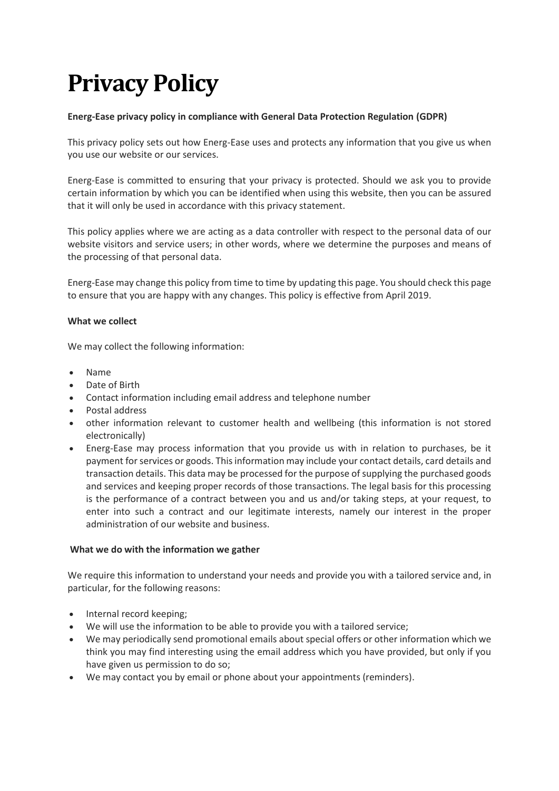# **Privacy Policy**

## **Energ-Ease privacy policy in compliance with General Data Protection Regulation (GDPR)**

This privacy policy sets out how Energ-Ease uses and protects any information that you give us when you use our website or our services.

Energ-Ease is committed to ensuring that your privacy is protected. Should we ask you to provide certain information by which you can be identified when using this website, then you can be assured that it will only be used in accordance with this privacy statement.

This policy applies where we are acting as a data controller with respect to the personal data of our website visitors and service users; in other words, where we determine the purposes and means of the processing of that personal data.

Energ-Ease may change this policy from time to time by updating this page. You should check this page to ensure that you are happy with any changes. This policy is effective from April 2019.

## **What we collect**

We may collect the following information:

- Name
- Date of Birth
- Contact information including email address and telephone number
- Postal address
- other information relevant to customer health and wellbeing (this information is not stored electronically)
- Energ-Ease may process information that you provide us with in relation to purchases, be it payment for services or goods. This information may include your contact details, card details and transaction details. This data may be processed for the purpose of supplying the purchased goods and services and keeping proper records of those transactions. The legal basis for this processing is the performance of a contract between you and us and/or taking steps, at your request, to enter into such a contract and our legitimate interests, namely our interest in the proper administration of our website and business.

## **What we do with the information we gather**

We require this information to understand your needs and provide you with a tailored service and, in particular, for the following reasons:

- Internal record keeping;
- We will use the information to be able to provide you with a tailored service;
- We may periodically send promotional emails about special offers or other information which we think you may find interesting using the email address which you have provided, but only if you have given us permission to do so;
- We may contact you by email or phone about your appointments (reminders).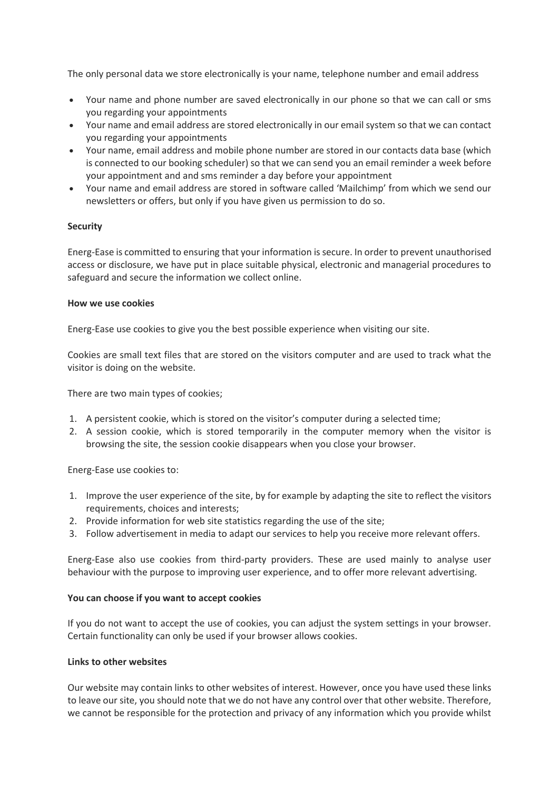The only personal data we store electronically is your name, telephone number and email address

- Your name and phone number are saved electronically in our phone so that we can call or sms you regarding your appointments
- Your name and email address are stored electronically in our email system so that we can contact you regarding your appointments
- Your name, email address and mobile phone number are stored in our contacts data base (which is connected to our booking scheduler) so that we can send you an email reminder a week before your appointment and and sms reminder a day before your appointment
- Your name and email address are stored in software called 'Mailchimp' from which we send our newsletters or offers, but only if you have given us permission to do so.

## **Security**

Energ-Ease is committed to ensuring that your information is secure. In order to prevent unauthorised access or disclosure, we have put in place suitable physical, electronic and managerial procedures to safeguard and secure the information we collect online.

## **How we use cookies**

Energ-Ease use cookies to give you the best possible experience when visiting our site.

Cookies are small text files that are stored on the visitors computer and are used to track what the visitor is doing on the website.

There are two main types of cookies;

- 1. A persistent cookie, which is stored on the visitor's computer during a selected time;
- 2. A session cookie, which is stored temporarily in the computer memory when the visitor is browsing the site, the session cookie disappears when you close your browser.

Energ-Ease use cookies to:

- 1. Improve the user experience of the site, by for example by adapting the site to reflect the visitors requirements, choices and interests;
- 2. Provide information for web site statistics regarding the use of the site;
- 3. Follow advertisement in media to adapt our services to help you receive more relevant offers.

Energ-Ease also use cookies from third-party providers. These are used mainly to analyse user behaviour with the purpose to improving user experience, and to offer more relevant advertising.

## **You can choose if you want to accept cookies**

If you do not want to accept the use of cookies, you can adjust the system settings in your browser. Certain functionality can only be used if your browser allows cookies.

## **Links to other websites**

Our website may contain links to other websites of interest. However, once you have used these links to leave our site, you should note that we do not have any control over that other website. Therefore, we cannot be responsible for the protection and privacy of any information which you provide whilst